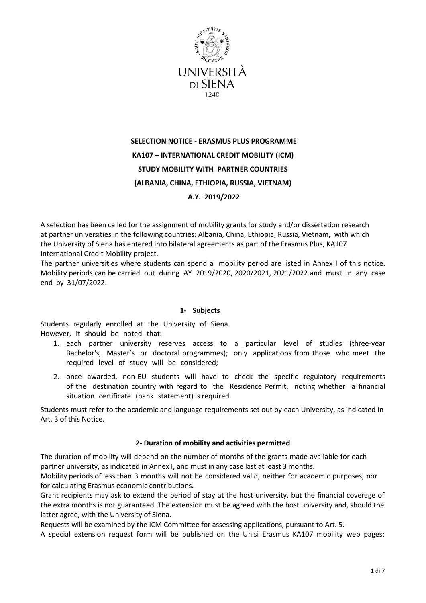

# **SELECTION NOTICE - ERASMUS PLUS PROGRAMME KA107 – INTERNATIONAL CREDIT MOBILITY (ICM) STUDY MOBILITY WITH PARTNER COUNTRIES (ALBANIA, CHINA, ETHIOPIA, RUSSIA, VIETNAM) A.Y. 2019/2022**

A selection has been called for the assignment of mobility grants for study and/or dissertation research at partner universities in the following countries: Albania, China, Ethiopia, Russia, Vietnam, with which the University of Siena has entered into bilateral agreements as part of the Erasmus Plus, KA107 International Credit Mobility project.

The partner universities where students can spend a mobility period are listed in Annex I of this notice. Mobility periods can be carried out during AY 2019/2020, 2020/2021, 2021/2022 and must in any case end by 31/07/2022.

# **1- Subjects**

Students regularly enrolled at the University of Siena. However, it should be noted that:

- 1. each partner university reserves access to a particular level of studies (three-year Bachelor's, Master's or doctoral programmes); only applications from those who meet the required level of study will be considered;
- 2. once awarded, non-EU students will have to check the specific regulatory requirements of the destination country with regard to the Residence Permit, noting whether a financial situation certificate (bank statement) is required.

Students must refer to the academic and language requirements set out by each University, as indicated in Art. 3 of this Notice.

# **2- Duration of mobility and activities permitted**

The duration of mobility will depend on the number of months of the grants made available for each partner university, as indicated in Annex I, and must in any case last at least 3 months.

Mobility periods of less than 3 months will not be considered valid, neither for academic purposes, nor for calculating Erasmus economic contributions.

Grant recipients may ask to extend the period of stay at the host university, but the financial coverage of the extra months is not guaranteed. The extension must be agreed with the host university and, should the latter agree, with the University of Siena.

Requests will be examined by the ICM Committee for assessing applications, pursuant to Art. 5.

A special extension request form will be published on the Unisi Erasmus KA107 mobility web pages: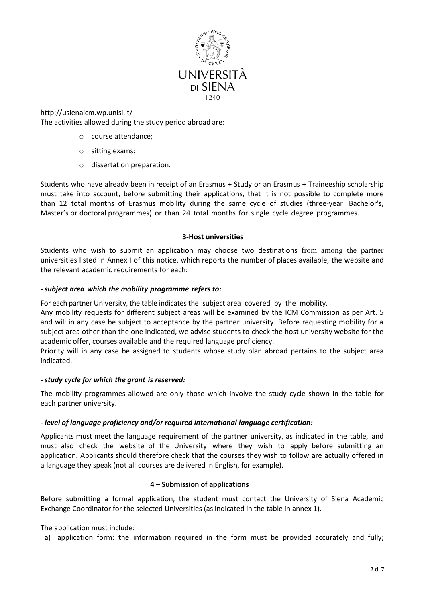

<http://usienaicm.wp.unisi.it/> The activities allowed during the study period abroad are:

- o course attendance;
- o sitting exams:
- o dissertation preparation.

Students who have already been in receipt of an Erasmus + Study or an Erasmus + Traineeship scholarship must take into account, before submitting their applications, that it is not possible to complete more than 12 total months of Erasmus mobility during the same cycle of studies (three-year Bachelor's, Master's or doctoral programmes) or than 24 total months for single cycle degree programmes.

#### **3-Host universities**

Students who wish to submit an application may choose two destinations from among the partner universities listed in Annex I of this notice, which reports the number of places available, the website and the relevant academic requirements for each:

## *- subject area which the mobility programme refers to:*

For each partner University, the table indicates the subject area covered by the mobility.

Any mobility requests for different subject areas will be examined by the ICM Commission as per Art. 5 and will in any case be subject to acceptance by the partner university. Before requesting mobility for a subject area other than the one indicated, we advise students to check the host university website for the academic offer, courses available and the required language proficiency.

Priority will in any case be assigned to students whose study plan abroad pertains to the subject area indicated.

#### *- study cycle for which the grant is reserved:*

The mobility programmes allowed are only those which involve the study cycle shown in the table for each partner university.

# *- level of language proficiency and/or required international language certification:*

Applicants must meet the language requirement of the partner university, as indicated in the table, and must also check the website of the University where they wish to apply before submitting an application. Applicants should therefore check that the courses they wish to follow are actually offered in a language they speak (not all courses are delivered in English, for example).

#### **4 – Submission of applications**

Before submitting a formal application, the student must contact the University of Siena Academic Exchange Coordinator for the selected Universities (as indicated in the table in annex 1).

#### The application must include:

a) application form: the information required in the form must be provided accurately and fully;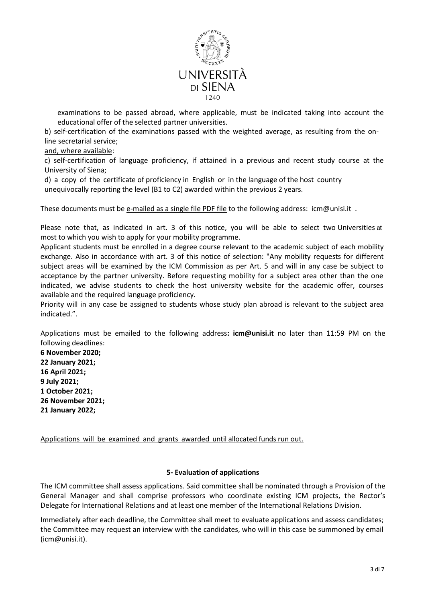

examinations to be passed abroad, where applicable, must be indicated taking into account the educational offer of the selected partner universities.

b) self-certification of the examinations passed with the weighted average, as resulting from the online secretarial service;

and, where available:

c) self-certification of language proficiency, if attained in a previous and recent study course at the University of Siena;

d) a copy of the certificate of proficiency in English or in the language of the host country unequivocally reporting the level (B1 to C2) awarded within the previous 2 years.

These documents must be e-mailed as a single file PDF file to the following address: [icm@unisi.it](mailto:icm@unisi.it) .

Please note that, as indicated in art. 3 of this notice, you will be able to select two Universities at most to which you wish to apply for your mobility programme.

Applicant students must be enrolled in a degree course relevant to the academic subject of each mobility exchange. Also in accordance with art. 3 of this notice of selection: "Any mobility requests for different subject areas will be examined by the ICM Commission as per Art. 5 and will in any case be subject to acceptance by the partner university. Before requesting mobility for a subject area other than the one indicated, we advise students to check the host university website for the academic offer, courses available and the required language proficiency.

Priority will in any case be assigned to students whose study plan abroad is relevant to the subject area indicated.".

Applications must be emailed to the following address**: [icm@unisi.it](mailto:icm@unisi.it)** no later than 11:59 PM on the following deadlines:

**6 November 2020; 22 January 2021; 16 April 2021; 9 July 2021; 1 October 2021; 26 November 2021; 21 January 2022;** 

Applications will be examined and grants awarded until allocated funds run out.

#### **5- Evaluation of applications**

The ICM committee shall assess applications. Said committee shall be nominated through a Provision of the General Manager and shall comprise professors who coordinate existing ICM projects, the Rector's Delegate for International Relations and at least one member of the International Relations Division.

Immediately after each deadline, the Committee shall meet to evaluate applications and assess candidates; the Committee may request an interview with the candidates, who will in this case be summoned by email [\(icm@unisi.it\)](mailto:icm@unisi.it).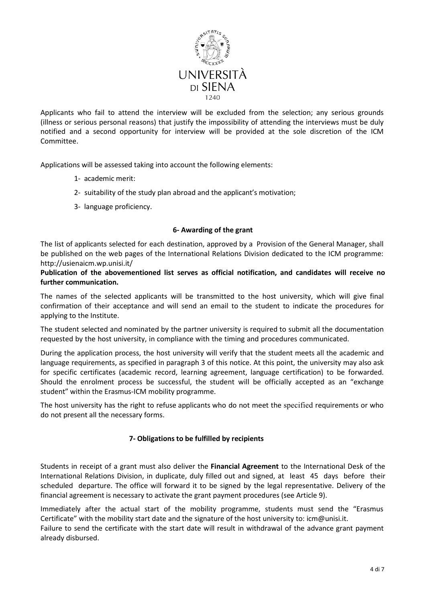

Applicants who fail to attend the interview will be excluded from the selection; any serious grounds (illness or serious personal reasons) that justify the impossibility of attending the interviews must be duly notified and a second opportunity for interview will be provided at the sole discretion of the ICM Committee.

Applications will be assessed taking into account the following elements:

- 1- academic merit:
- 2- suitability of the study plan abroad and the applicant's motivation;
- 3- language proficiency.

#### **6- Awarding of the grant**

The list of applicants selected for each destination, approved by a Provision of the General Manager, shall be published on the web pages of the International Relations Division dedicated to the ICM programme: <http://usienaicm.wp.unisi.it/>

## **Publication of the abovementioned list serves as official notification, and candidates will receive no further communication.**

The names of the selected applicants will be transmitted to the host university, which will give final confirmation of their acceptance and will send an email to the student to indicate the procedures for applying to the Institute.

The student selected and nominated by the partner university is required to submit all the documentation requested by the host university, in compliance with the timing and procedures communicated.

During the application process, the host university will verify that the student meets all the academic and language requirements, as specified in paragraph 3 of this notice. At this point, the university may also ask for specific certificates (academic record, learning agreement, language certification) to be forwarded. Should the enrolment process be successful, the student will be officially accepted as an "exchange student" within the Erasmus-ICM mobility programme.

The host university has the right to refuse applicants who do not meet the specified requirements or who do not present all the necessary forms.

#### **7- Obligations to be fulfilled by recipients**

Students in receipt of a grant must also deliver the **Financial Agreement** to the International Desk of the International Relations Division, in duplicate, duly filled out and signed, at least 45 days before their scheduled departure. The office will forward it to be signed by the legal representative. Delivery of the financial agreement is necessary to activate the grant payment procedures (see Article 9).

Immediately after the actual start of the mobility programme, students must send the "Erasmus Certificate" with the mobility start date and the signature of the host university to[: icm@unisi.it.](mailto:icm@unisi.it)

Failure to send the certificate with the start date will result in withdrawal of the advance grant payment already disbursed.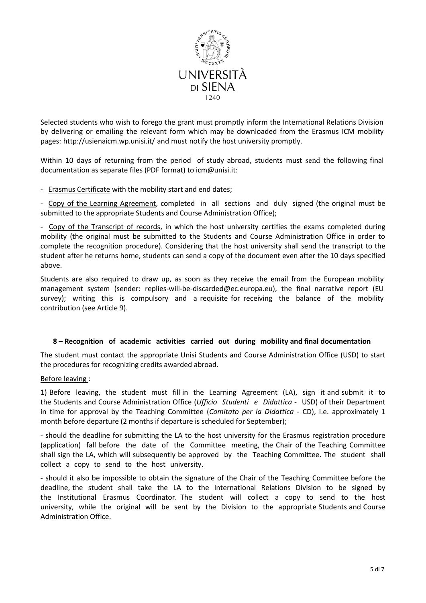

Selected students who wish to forego the grant must promptly inform the International Relations Division by delivering or emailing the relevant form which may be downloaded from the Erasmus ICM mobility pages: <http://usienaicm.wp.unisi.it/> and must notify the host university promptly.

Within 10 days of returning from the period of study abroad, students must sen[d](mailto:) the following final documentation as separate files (PDF format) t[o icm@unisi.it:](mailto:icm@unisi.it)

- Erasmus Certificate with the mobility start and end dates;

- Copy of the Learning Agreement, completed in all sections and duly signed (the original must be submitted to the appropriate Students and Course Administration Office);

- Copy of the Transcript of records, in which the host university certifies the exams completed during mobility (the original must be submitted to the Students and Course Administration Office in order to complete the recognition procedure). Considering that the host university shall send the transcript to the student after he returns home, students can send a copy of the document even after the 10 days specified above.

Students are also required to draw up, as soon as they receive the email from the European mobility management system (sender: replies-will-be-discarded@ec.europa.eu), the final narrative report (EU survey); writing this is compulsory and a requisite for receiving the balance of the mobility contribution (see Article 9).

#### **8 – Recognition of academic activities carried out during mobility and final documentation**

The student must contact the appropriate Unisi Students and Course Administration Office (USD) to start the procedures for recognizing credits awarded abroad.

#### Before leaving :

1) Before leaving, the student must fill in the Learning Agreement (LA), sign it and submit it to the Students and Course Administration Office (*Ufficio Studenti e Didattica* - USD) of their Department in time for approval by the Teaching Committee (*Comitato per la Didattica* - CD), i.e. approximately 1 month before departure (2 months if departure is scheduled for September);

- should the deadline for submitting the LA to the host university for the Erasmus registration procedure (application) fall before the date of the Committee meeting, the Chair of the Teaching Committee shall sign the LA, which will subsequently be approved by the Teaching Committee. The student shall collect a copy to send to the host university.

- should it also be impossible to obtain the signature of the Chair of the Teaching Committee before the deadline, the student shall take the LA to the International Relations Division to be signed by the Institutional Erasmus Coordinator. The student will collect a copy to send to the host university, while the original will be sent by the Division to the appropriate Students and Course Administration Office.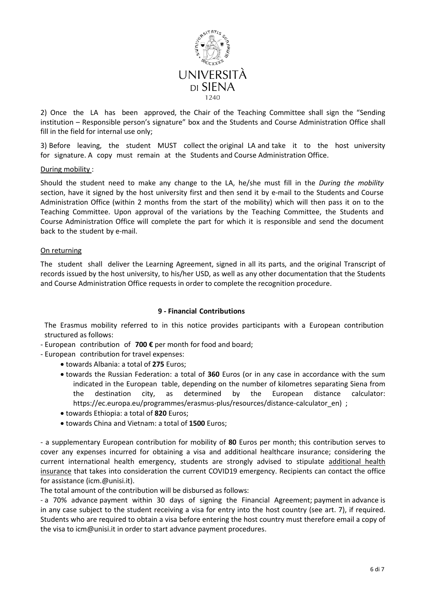

2) Once the LA has been approved, the Chair of the Teaching Committee shall sign the "Sending institution – Responsible person's signature" box and the Students and Course Administration Office shall fill in the field for internal use only;

3) Before leaving, the student MUST collect the original LA and take it to the host university for signature. A copy must remain at the Students and Course Administration Office.

## During mobility :

Should the student need to make any change to the LA, he/she must fill in the *During the mobility* section, have it signed by the host university first and then send it by e-mail to the Students and Course Administration Office (within 2 months from the start of the mobility) which will then pass it on to the Teaching Committee. Upon approval of the variations by the Teaching Committee, the Students and Course Administration Office will complete the part for which it is responsible and send the document back to the student by e-mail.

#### On returning

The student shall deliver the Learning Agreement, signed in all its parts, and the original Transcript of records issued by the host university, to his/her USD, as well as any other documentation that the Students and Course Administration Office requests in order to complete the recognition procedure.

#### **9 - Financial Contributions**

The Erasmus mobility referred to in this notice provides participants with a European contribution structured as follows:

- European contribution of **700 €** per month for food and board;
- European contribution for travel expenses:
	- towards Albania: a total of **275** Euros;
	- towards the Russian Federation: a total of **360** Euros (or in any case in accordance with the sum indicated in the European table, depending on the number of kilometres separating Siena from the destination city, as determined by the European distance calculator: https://ec.europa.eu/programmes/erasmus-plus/resources/distance-calculator\_en) ;
	- towards Ethiopia: a total of **820** Euros;
	- towards China and Vietnam: a total of **1500** Euros;

- a supplementary European contribution for mobility of **80** Euros per month; this contribution serves to cover any expenses incurred for obtaining a visa and additional healthcare insurance; considering the current international health emergency, students are strongly advised to stipulate additional health insurance that takes into consideration the current COVID19 emergency. Recipients can contact the office for assistance (icm.@unisi.it).

The total amount of the contribution will be disbursed as follows:

- a 70% advance payment within 30 days of signing the Financial Agreement; payment in advance is in any case subject to the student receiving a visa for entry into the host country (see art. 7), if required. Students who are required to obtain a visa before entering the host country must therefore email a copy of the visa to [icm@unisi.it](mailto:icm@unisi.it) in order to start advance payment procedures.